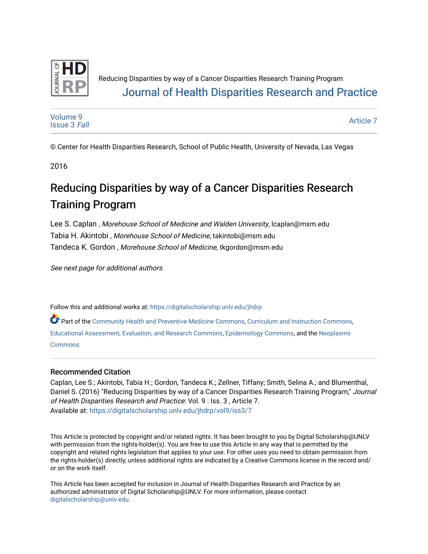

### Reducing Disparities by way of a Cancer Disparities Research Training Program [Journal of Health Disparities Research and Practice](https://digitalscholarship.unlv.edu/jhdrp)

[Volume 9](https://digitalscholarship.unlv.edu/jhdrp/vol9) [Issue 3](https://digitalscholarship.unlv.edu/jhdrp/vol9/iss3) Fall

[Article 7](https://digitalscholarship.unlv.edu/jhdrp/vol9/iss3/7) 

© Center for Health Disparities Research, School of Public Health, University of Nevada, Las Vegas

2016

# Reducing Disparities by way of a Cancer Disparities Research Training Program

Lee S. Caplan , Morehouse School of Medicine and Walden University, lcaplan@msm.edu Tabia H. Akintobi , Morehouse School of Medicine, takintobi@msm.edu Tandeca K. Gordon , Morehouse School of Medicine, tkgordon@msm.edu

See next page for additional authors

Follow this and additional works at: [https://digitalscholarship.unlv.edu/jhdrp](https://digitalscholarship.unlv.edu/jhdrp?utm_source=digitalscholarship.unlv.edu%2Fjhdrp%2Fvol9%2Fiss3%2F7&utm_medium=PDF&utm_campaign=PDFCoverPages) 

Part of the [Community Health and Preventive Medicine Commons,](http://network.bepress.com/hgg/discipline/744?utm_source=digitalscholarship.unlv.edu%2Fjhdrp%2Fvol9%2Fiss3%2F7&utm_medium=PDF&utm_campaign=PDFCoverPages) [Curriculum and Instruction Commons,](http://network.bepress.com/hgg/discipline/786?utm_source=digitalscholarship.unlv.edu%2Fjhdrp%2Fvol9%2Fiss3%2F7&utm_medium=PDF&utm_campaign=PDFCoverPages) [Educational Assessment, Evaluation, and Research Commons,](http://network.bepress.com/hgg/discipline/796?utm_source=digitalscholarship.unlv.edu%2Fjhdrp%2Fvol9%2Fiss3%2F7&utm_medium=PDF&utm_campaign=PDFCoverPages) [Epidemiology Commons](http://network.bepress.com/hgg/discipline/740?utm_source=digitalscholarship.unlv.edu%2Fjhdrp%2Fvol9%2Fiss3%2F7&utm_medium=PDF&utm_campaign=PDFCoverPages), and the [Neoplasms](http://network.bepress.com/hgg/discipline/924?utm_source=digitalscholarship.unlv.edu%2Fjhdrp%2Fvol9%2Fiss3%2F7&utm_medium=PDF&utm_campaign=PDFCoverPages)  [Commons](http://network.bepress.com/hgg/discipline/924?utm_source=digitalscholarship.unlv.edu%2Fjhdrp%2Fvol9%2Fiss3%2F7&utm_medium=PDF&utm_campaign=PDFCoverPages) 

#### Recommended Citation

Caplan, Lee S.; Akintobi, Tabia H.; Gordon, Tandeca K.; Zellner, Tiffany; Smith, Selina A.; and Blumenthal, Daniel S. (2016) "Reducing Disparities by way of a Cancer Disparities Research Training Program," Journal of Health Disparities Research and Practice: Vol. 9 : Iss. 3 , Article 7. Available at: [https://digitalscholarship.unlv.edu/jhdrp/vol9/iss3/7](https://digitalscholarship.unlv.edu/jhdrp/vol9/iss3/7?utm_source=digitalscholarship.unlv.edu%2Fjhdrp%2Fvol9%2Fiss3%2F7&utm_medium=PDF&utm_campaign=PDFCoverPages)

This Article is protected by copyright and/or related rights. It has been brought to you by Digital Scholarship@UNLV with permission from the rights-holder(s). You are free to use this Article in any way that is permitted by the copyright and related rights legislation that applies to your use. For other uses you need to obtain permission from the rights-holder(s) directly, unless additional rights are indicated by a Creative Commons license in the record and/ or on the work itself.

This Article has been accepted for inclusion in Journal of Health Disparities Research and Practice by an authorized administrator of Digital Scholarship@UNLV. For more information, please contact [digitalscholarship@unlv.edu](mailto:digitalscholarship@unlv.edu).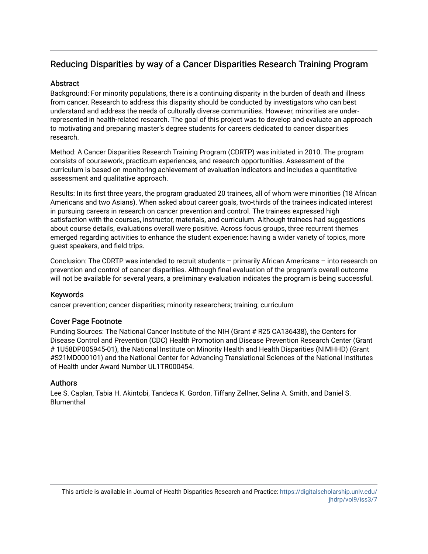#### **Abstract**

Background: For minority populations, there is a continuing disparity in the burden of death and illness from cancer. Research to address this disparity should be conducted by investigators who can best understand and address the needs of culturally diverse communities. However, minorities are underrepresented in health-related research. The goal of this project was to develop and evaluate an approach to motivating and preparing master's degree students for careers dedicated to cancer disparities research.

Method: A Cancer Disparities Research Training Program (CDRTP) was initiated in 2010. The program consists of coursework, practicum experiences, and research opportunities. Assessment of the curriculum is based on monitoring achievement of evaluation indicators and includes a quantitative assessment and qualitative approach.

Results: In its first three years, the program graduated 20 trainees, all of whom were minorities (18 African Americans and two Asians). When asked about career goals, two-thirds of the trainees indicated interest in pursuing careers in research on cancer prevention and control. The trainees expressed high satisfaction with the courses, instructor, materials, and curriculum. Although trainees had suggestions about course details, evaluations overall were positive. Across focus groups, three recurrent themes emerged regarding activities to enhance the student experience: having a wider variety of topics, more guest speakers, and field trips.

Conclusion: The CDRTP was intended to recruit students – primarily African Americans – into research on prevention and control of cancer disparities. Although final evaluation of the program's overall outcome will not be available for several years, a preliminary evaluation indicates the program is being successful.

#### Keywords

cancer prevention; cancer disparities; minority researchers; training; curriculum

#### Cover Page Footnote

Funding Sources: The National Cancer Institute of the NIH (Grant # R25 CA136438), the Centers for Disease Control and Prevention (CDC) Health Promotion and Disease Prevention Research Center (Grant # 1U58DP005945-01), the National Institute on Minority Health and Health Disparities (NIMHHD) (Grant #S21MD000101) and the National Center for Advancing Translational Sciences of the National Institutes of Health under Award Number UL1TR000454.

#### **Authors**

Lee S. Caplan, Tabia H. Akintobi, Tandeca K. Gordon, Tiffany Zellner, Selina A. Smith, and Daniel S. Blumenthal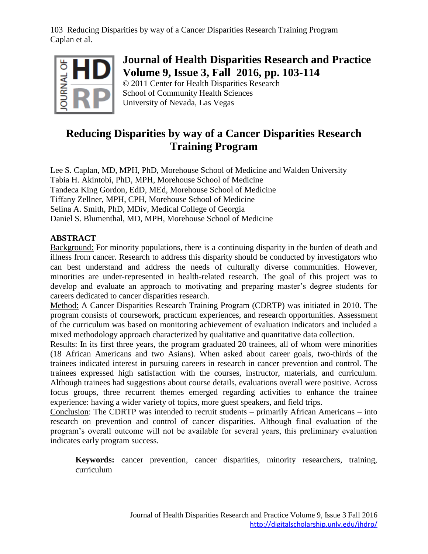

## **Journal of Health Disparities Research and Practice Volume 9, Issue 3, Fall 2016, pp. 103-114**

© 2011 Center for Health Disparities Research School of Community Health Sciences University of Nevada, Las Vegas

## **Reducing Disparities by way of a Cancer Disparities Research Training Program**

Lee S. Caplan, MD, MPH, PhD, Morehouse School of Medicine and Walden University Tabia H. Akintobi, PhD, MPH, Morehouse School of Medicine Tandeca King Gordon, EdD, MEd, Morehouse School of Medicine Tiffany Zellner, MPH, CPH, Morehouse School of Medicine Selina A. Smith, PhD, MDiv, Medical College of Georgia Daniel S. Blumenthal, MD, MPH, Morehouse School of Medicine

#### **ABSTRACT**

Background: For minority populations, there is a continuing disparity in the burden of death and illness from cancer. Research to address this disparity should be conducted by investigators who can best understand and address the needs of culturally diverse communities. However, minorities are under-represented in health-related research. The goal of this project was to develop and evaluate an approach to motivating and preparing master's degree students for careers dedicated to cancer disparities research.

Method: A Cancer Disparities Research Training Program (CDRTP) was initiated in 2010. The program consists of coursework, practicum experiences, and research opportunities. Assessment of the curriculum was based on monitoring achievement of evaluation indicators and included a mixed methodology approach characterized by qualitative and quantitative data collection.

Results: In its first three years, the program graduated 20 trainees, all of whom were minorities (18 African Americans and two Asians). When asked about career goals, two-thirds of the trainees indicated interest in pursuing careers in research in cancer prevention and control. The trainees expressed high satisfaction with the courses, instructor, materials, and curriculum. Although trainees had suggestions about course details, evaluations overall were positive. Across focus groups, three recurrent themes emerged regarding activities to enhance the trainee experience: having a wider variety of topics, more guest speakers, and field trips.

Conclusion: The CDRTP was intended to recruit students – primarily African Americans – into research on prevention and control of cancer disparities. Although final evaluation of the program's overall outcome will not be available for several years, this preliminary evaluation indicates early program success.

**Keywords:** cancer prevention, cancer disparities, minority researchers, training, curriculum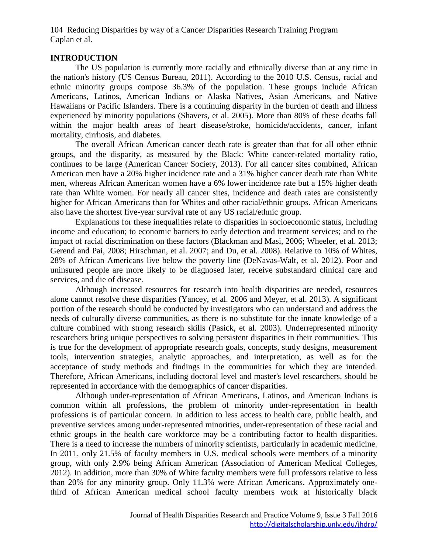#### **INTRODUCTION**

The US population is currently more racially and ethnically diverse than at any time in the nation's history (US Census Bureau, 2011). According to the 2010 U.S. Census, racial and ethnic minority groups compose 36.3% of the population. These groups include African Americans, Latinos, American Indians or Alaska Natives, Asian Americans, and Native Hawaiians or Pacific Islanders. There is a continuing disparity in the burden of death and illness experienced by minority populations (Shavers, et al. 2005). More than 80% of these deaths fall within the major health areas of heart disease/stroke, homicide/accidents, cancer, infant mortality, cirrhosis, and diabetes.

The overall African American cancer death rate is greater than that for all other ethnic groups, and the disparity, as measured by the Black: White cancer-related mortality ratio, continues to be large (American Cancer Society, 2013). For all cancer sites combined, African American men have a 20% higher incidence rate and a 31% higher cancer death rate than White men, whereas African American women have a 6% lower incidence rate but a 15% higher death rate than White women. For nearly all cancer sites, incidence and death rates are consistently higher for African Americans than for Whites and other racial/ethnic groups. African Americans also have the shortest five-year survival rate of any US racial/ethnic group.

Explanations for these inequalities relate to disparities in socioeconomic status, including income and education; to economic barriers to early detection and treatment services; and to the impact of racial discrimination on these factors (Blackman and Masi, 2006; Wheeler, et al. 2013; Gerend and Pai, 2008; Hirschman, et al. 2007; and Du, et al. 2008). Relative to 10% of Whites, 28% of African Americans live below the poverty line (DeNavas-Walt, et al. 2012). Poor and uninsured people are more likely to be diagnosed later, receive substandard clinical care and services, and die of disease.

Although increased resources for research into health disparities are needed, resources alone cannot resolve these disparities (Yancey, et al. 2006 and Meyer, et al. 2013). A significant portion of the research should be conducted by investigators who can understand and address the needs of culturally diverse communities, as there is no substitute for the innate knowledge of a culture combined with strong research skills (Pasick, et al. 2003). Underrepresented minority researchers bring unique perspectives to solving persistent disparities in their communities. This is true for the development of appropriate research goals, concepts, study designs, measurement tools, intervention strategies, analytic approaches, and interpretation, as well as for the acceptance of study methods and findings in the communities for which they are intended. Therefore, African Americans, including doctoral level and master's level researchers, should be represented in accordance with the demographics of cancer disparities.

Although under-representation of African Americans, Latinos, and American Indians is common within all professions, the problem of minority under-representation in health professions is of particular concern. In addition to less access to health care, public health, and preventive services among under-represented minorities, under-representation of these racial and ethnic groups in the health care workforce may be a contributing factor to health disparities. There is a need to increase the numbers of minority scientists, particularly in academic medicine. In 2011, only 21.5% of faculty members in U.S. medical schools were members of a minority group, with only 2.9% being African American (Association of American Medical Colleges, 2012). In addition, more than 30% of White faculty members were full professors relative to less than 20% for any minority group. Only 11.3% were African Americans. Approximately onethird of African American medical school faculty members work at historically black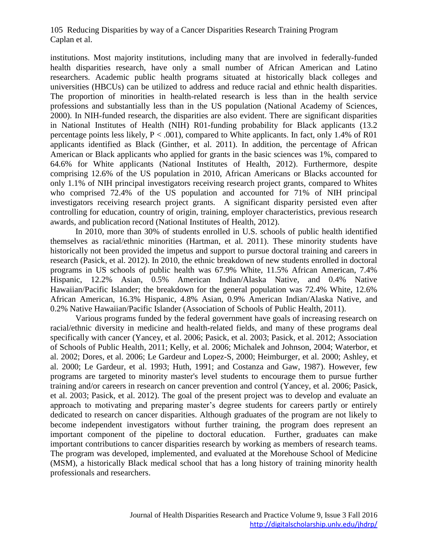institutions. Most majority institutions, including many that are involved in federally-funded health disparities research, have only a small number of African American and Latino researchers. Academic public health programs situated at historically black colleges and universities (HBCUs) can be utilized to address and reduce racial and ethnic health disparities. The proportion of minorities in health-related research is less than in the health service professions and substantially less than in the US population (National Academy of Sciences, 2000). In NIH-funded research, the disparities are also evident. There are significant disparities in National Institutes of Health (NIH) R01-funding probability for Black applicants (13.2 percentage points less likely,  $P < .001$ ), compared to White applicants. In fact, only 1.4% of R01 applicants identified as Black (Ginther, et al. 2011). In addition, the percentage of African American or Black applicants who applied for grants in the basic sciences was 1%, compared to 64.6% for White applicants (National Institutes of Health, 2012). Furthermore, despite comprising 12.6% of the US population in 2010, African Americans or Blacks accounted for only 1.1% of NIH principal investigators receiving research project grants, compared to Whites who comprised 72.4% of the US population and accounted for 71% of NIH principal investigators receiving research project grants. A significant disparity persisted even after controlling for education, country of origin, training, employer characteristics, previous research awards, and publication record (National Institutes of Health, 2012).

In 2010, more than 30% of students enrolled in U.S. schools of public health identified themselves as racial/ethnic minorities (Hartman, et al. 2011). These minority students have historically not been provided the impetus and support to pursue doctoral training and careers in research (Pasick, et al. 2012). In 2010, the ethnic breakdown of new students enrolled in doctoral programs in US schools of public health was 67.9% White, 11.5% African American, 7.4% Hispanic, 12.2% Asian, 0.5% American Indian/Alaska Native, and 0.4% Native Hawaiian/Pacific Islander; the breakdown for the general population was 72.4% White, 12.6% African American, 16.3% Hispanic, 4.8% Asian, 0.9% American Indian/Alaska Native, and 0.2% Native Hawaiian/Pacific Islander (Association of Schools of Public Health, 2011).

Various programs funded by the federal government have goals of increasing research on racial/ethnic diversity in medicine and health-related fields, and many of these programs deal specifically with cancer (Yancey, et al. 2006; Pasick, et al. 2003; Pasick, et al. 2012; Association of Schools of Public Health, 2011; Kelly, et al. 2006; Michalek and Johnson, 2004; Waterbor, et al. 2002; Dores, et al. 2006; Le Gardeur and Lopez-S, 2000; Heimburger, et al. 2000; Ashley, et al. 2000; Le Gardeur, et al. 1993; Huth, 1991; and Costanza and Gaw, 1987). However, few programs are targeted to minority master's level students to encourage them to pursue further training and/or careers in research on cancer prevention and control (Yancey, et al. 2006; Pasick, et al. 2003; Pasick, et al. 2012). The goal of the present project was to develop and evaluate an approach to motivating and preparing master's degree students for careers partly or entirely dedicated to research on cancer disparities. Although graduates of the program are not likely to become independent investigators without further training, the program does represent an important component of the pipeline to doctoral education. Further, graduates can make important contributions to cancer disparities research by working as members of research teams. The program was developed, implemented, and evaluated at the Morehouse School of Medicine (MSM), a historically Black medical school that has a long history of training minority health professionals and researchers.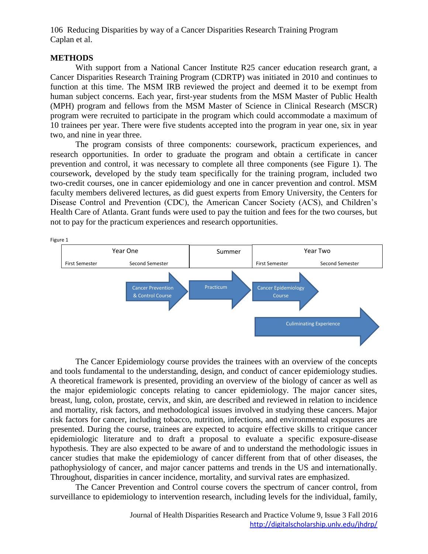#### **METHODS**

With support from a National Cancer Institute R25 cancer education research grant, a Cancer Disparities Research Training Program (CDRTP) was initiated in 2010 and continues to function at this time. The MSM IRB reviewed the project and deemed it to be exempt from human subject concerns. Each year, first-year students from the MSM Master of Public Health (MPH) program and fellows from the MSM Master of Science in Clinical Research (MSCR) program were recruited to participate in the program which could accommodate a maximum of 10 trainees per year. There were five students accepted into the program in year one, six in year two, and nine in year three.

The program consists of three components: coursework, practicum experiences, and research opportunities. In order to graduate the program and obtain a certificate in cancer prevention and control, it was necessary to complete all three components (see Figure 1). The coursework, developed by the study team specifically for the training program, included two two-credit courses, one in cancer epidemiology and one in cancer prevention and control. MSM faculty members delivered lectures, as did guest experts from Emory University, the Centers for Disease Control and Prevention (CDC), the American Cancer Society (ACS), and Children's Health Care of Atlanta. Grant funds were used to pay the tuition and fees for the two courses, but not to pay for the practicum experiences and research opportunities.



The Cancer Epidemiology course provides the trainees with an overview of the concepts and tools fundamental to the understanding, design, and conduct of cancer epidemiology studies. A theoretical framework is presented, providing an overview of the biology of cancer as well as the major epidemiologic concepts relating to cancer epidemiology. The major cancer sites, breast, lung, colon, prostate, cervix, and skin, are described and reviewed in relation to incidence and mortality, risk factors, and methodological issues involved in studying these cancers. Major risk factors for cancer, including tobacco, nutrition, infections, and environmental exposures are presented. During the course, trainees are expected to acquire effective skills to critique cancer epidemiologic literature and to draft a proposal to evaluate a specific exposure-disease hypothesis. They are also expected to be aware of and to understand the methodologic issues in cancer studies that make the epidemiology of cancer different from that of other diseases, the pathophysiology of cancer, and major cancer patterns and trends in the US and internationally. Throughout, disparities in cancer incidence, mortality, and survival rates are emphasized.

The Cancer Prevention and Control course covers the spectrum of cancer control, from surveillance to epidemiology to intervention research, including levels for the individual, family,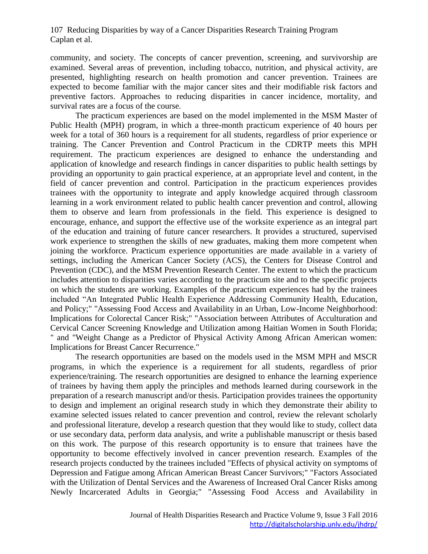community, and society. The concepts of cancer prevention, screening, and survivorship are examined. Several areas of prevention, including tobacco, nutrition, and physical activity, are presented, highlighting research on health promotion and cancer prevention. Trainees are expected to become familiar with the major cancer sites and their modifiable risk factors and preventive factors. Approaches to reducing disparities in cancer incidence, mortality, and survival rates are a focus of the course.

The practicum experiences are based on the model implemented in the MSM Master of Public Health (MPH) program, in which a three-month practicum experience of 40 hours per week for a total of 360 hours is a requirement for all students, regardless of prior experience or training. The Cancer Prevention and Control Practicum in the CDRTP meets this MPH requirement. The practicum experiences are designed to enhance the understanding and application of knowledge and research findings in cancer disparities to public health settings by providing an opportunity to gain practical experience, at an appropriate level and content, in the field of cancer prevention and control. Participation in the practicum experiences provides trainees with the opportunity to integrate and apply knowledge acquired through classroom learning in a work environment related to public health cancer prevention and control, allowing them to observe and learn from professionals in the field. This experience is designed to encourage, enhance, and support the effective use of the worksite experience as an integral part of the education and training of future cancer researchers. It provides a structured, supervised work experience to strengthen the skills of new graduates, making them more competent when joining the workforce. Practicum experience opportunities are made available in a variety of settings, including the American Cancer Society (ACS), the Centers for Disease Control and Prevention (CDC), and the MSM Prevention Research Center. The extent to which the practicum includes attention to disparities varies according to the practicum site and to the specific projects on which the students are working. Examples of the practicum experiences had by the trainees included "An Integrated Public Health Experience Addressing Community Health, Education, and Policy;" "Assessing Food Access and Availability in an Urban, Low-Income Neighborhood: Implications for Colorectal Cancer Risk;" "Association between Attributes of Acculturation and Cervical Cancer Screening Knowledge and Utilization among Haitian Women in South Florida; " and "Weight Change as a Predictor of Physical Activity Among African American women: Implications for Breast Cancer Recurrence."

The research opportunities are based on the models used in the MSM MPH and MSCR programs, in which the experience is a requirement for all students, regardless of prior experience/training. The research opportunities are designed to enhance the learning experience of trainees by having them apply the principles and methods learned during coursework in the preparation of a research manuscript and/or thesis. Participation provides trainees the opportunity to design and implement an original research study in which they demonstrate their ability to examine selected issues related to cancer prevention and control, review the relevant scholarly and professional literature, develop a research question that they would like to study, collect data or use secondary data, perform data analysis, and write a publishable manuscript or thesis based on this work. The purpose of this research opportunity is to ensure that trainees have the opportunity to become effectively involved in cancer prevention research. Examples of the research projects conducted by the trainees included "Effects of physical activity on symptoms of Depression and Fatigue among African American Breast Cancer Survivors;" "Factors Associated with the Utilization of Dental Services and the Awareness of Increased Oral Cancer Risks among Newly Incarcerated Adults in Georgia;" "Assessing Food Access and Availability in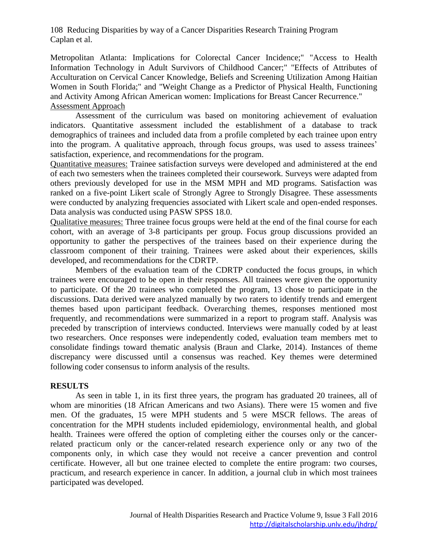Metropolitan Atlanta: Implications for Colorectal Cancer Incidence;" "Access to Health Information Technology in Adult Survivors of Childhood Cancer;" "Effects of Attributes of Acculturation on Cervical Cancer Knowledge, Beliefs and Screening Utilization Among Haitian Women in South Florida;" and "Weight Change as a Predictor of Physical Health, Functioning and Activity Among African American women: Implications for Breast Cancer Recurrence." Assessment Approach

Assessment of the curriculum was based on monitoring achievement of evaluation indicators. Quantitative assessment included the establishment of a database to track demographics of trainees and included data from a profile completed by each trainee upon entry into the program. A qualitative approach, through focus groups, was used to assess trainees' satisfaction, experience, and recommendations for the program.

Quantitative measures: Trainee satisfaction surveys were developed and administered at the end of each two semesters when the trainees completed their coursework. Surveys were adapted from others previously developed for use in the MSM MPH and MD programs. Satisfaction was ranked on a five-point Likert scale of Strongly Agree to Strongly Disagree. These assessments were conducted by analyzing frequencies associated with Likert scale and open-ended responses. Data analysis was conducted using PASW SPSS 18.0.

Qualitative measures: Three trainee focus groups were held at the end of the final course for each cohort, with an average of 3-8 participants per group. Focus group discussions provided an opportunity to gather the perspectives of the trainees based on their experience during the classroom component of their training. Trainees were asked about their experiences, skills developed, and recommendations for the CDRTP.

Members of the evaluation team of the CDRTP conducted the focus groups, in which trainees were encouraged to be open in their responses. All trainees were given the opportunity to participate. Of the 20 trainees who completed the program, 13 chose to participate in the discussions. Data derived were analyzed manually by two raters to identify trends and emergent themes based upon participant feedback. Overarching themes, responses mentioned most frequently, and recommendations were summarized in a report to program staff. Analysis was preceded by transcription of interviews conducted. Interviews were manually coded by at least two researchers. Once responses were independently coded, evaluation team members met to consolidate findings toward thematic analysis (Braun and Clarke, 2014). Instances of theme discrepancy were discussed until a consensus was reached. Key themes were determined following coder consensus to inform analysis of the results.

#### **RESULTS**

As seen in table 1, in its first three years, the program has graduated 20 trainees, all of whom are minorities (18 African Americans and two Asians). There were 15 women and five men. Of the graduates, 15 were MPH students and 5 were MSCR fellows. The areas of concentration for the MPH students included epidemiology, environmental health, and global health. Trainees were offered the option of completing either the courses only or the cancerrelated practicum only or the cancer-related research experience only or any two of the components only, in which case they would not receive a cancer prevention and control certificate. However, all but one trainee elected to complete the entire program: two courses, practicum, and research experience in cancer. In addition, a journal club in which most trainees participated was developed.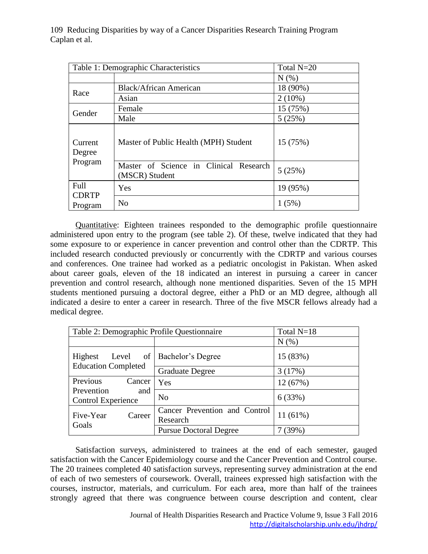| Table 1: Demographic Characteristics |                                                          | Total N=20 |
|--------------------------------------|----------------------------------------------------------|------------|
|                                      |                                                          | N(% )      |
| Race                                 | <b>Black/African American</b>                            | 18 (90%)   |
|                                      | Asian                                                    | $2(10\%)$  |
| Gender                               | Female                                                   | 15 (75%)   |
|                                      | Male                                                     | 5(25%)     |
| Current<br>Degree<br>Program         | Master of Public Health (MPH) Student                    | 15 (75%)   |
|                                      | Master of Science in Clinical Research<br>(MSCR) Student | 5(25%)     |
| Full<br><b>CDRTP</b><br>Program      | Yes                                                      | 19 (95%)   |
|                                      | N <sub>0</sub>                                           | 1(5%)      |

Quantitative: Eighteen trainees responded to the demographic profile questionnaire administered upon entry to the program (see table 2). Of these, twelve indicated that they had some exposure to or experience in cancer prevention and control other than the CDRTP. This included research conducted previously or concurrently with the CDRTP and various courses and conferences. One trainee had worked as a pediatric oncologist in Pakistan. When asked about career goals, eleven of the 18 indicated an interest in pursuing a career in cancer prevention and control research, although none mentioned disparities. Seven of the 15 MPH students mentioned pursuing a doctoral degree, either a PhD or an MD degree, although all indicated a desire to enter a career in research. Three of the five MSCR fellows already had a medical degree.

| Table 2: Demographic Profile Questionnaire     | Total N=18                                |            |
|------------------------------------------------|-------------------------------------------|------------|
|                                                |                                           | N(% )      |
| Highest<br>of<br>Level                         | Bachelor's Degree                         | 15 (83%)   |
| <b>Education Completed</b>                     | <b>Graduate Degree</b>                    | 3(17%)     |
| Previous<br>Cancer                             | Yes                                       | 12 (67%)   |
| Prevention<br>and<br><b>Control Experience</b> | N <sub>0</sub>                            | 6(33%)     |
| Five-Year<br>Career<br>Goals                   | Cancer Prevention and Control<br>Research | $11(61\%)$ |
|                                                | <b>Pursue Doctoral Degree</b>             | 7(39%)     |

Satisfaction surveys, administered to trainees at the end of each semester, gauged satisfaction with the Cancer Epidemiology course and the Cancer Prevention and Control course. The 20 trainees completed 40 satisfaction surveys, representing survey administration at the end of each of two semesters of coursework. Overall, trainees expressed high satisfaction with the courses, instructor, materials, and curriculum. For each area, more than half of the trainees strongly agreed that there was congruence between course description and content, clear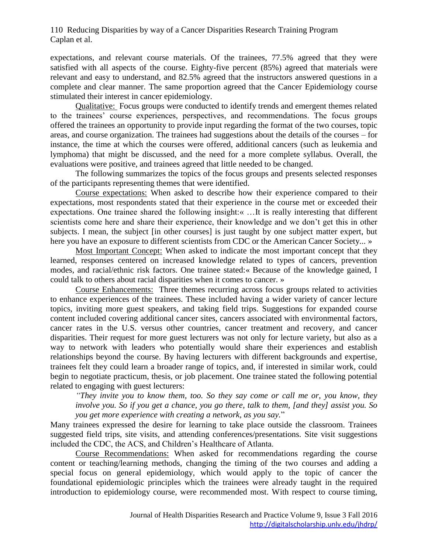expectations, and relevant course materials. Of the trainees, 77.5% agreed that they were satisfied with all aspects of the course. Eighty-five percent (85%) agreed that materials were relevant and easy to understand, and 82.5% agreed that the instructors answered questions in a complete and clear manner. The same proportion agreed that the Cancer Epidemiology course stimulated their interest in cancer epidemiology.

Qualitative: Focus groups were conducted to identify trends and emergent themes related to the trainees' course experiences, perspectives, and recommendations. The focus groups offered the trainees an opportunity to provide input regarding the format of the two courses, topic areas, and course organization. The trainees had suggestions about the details of the courses – for instance, the time at which the courses were offered, additional cancers (such as leukemia and lymphoma) that might be discussed, and the need for a more complete syllabus. Overall, the evaluations were positive, and trainees agreed that little needed to be changed.

The following summarizes the topics of the focus groups and presents selected responses of the participants representing themes that were identified.

Course expectations: When asked to describe how their experience compared to their expectations, most respondents stated that their experience in the course met or exceeded their expectations. One trainee shared the following insight:« …It is really interesting that different scientists come here and share their experience, their knowledge and we don't get this in other subjects. I mean, the subject [in other courses] is just taught by one subject matter expert, but here you have an exposure to different scientists from CDC or the American Cancer Society... »

Most Important Concept: When asked to indicate the most important concept that they learned, responses centered on increased knowledge related to types of cancers, prevention modes, and racial/ethnic risk factors. One trainee stated:« Because of the knowledge gained, I could talk to others about racial disparities when it comes to cancer. »

Course Enhancements: Three themes recurring across focus groups related to activities to enhance experiences of the trainees. These included having a wider variety of cancer lecture topics, inviting more guest speakers, and taking field trips. Suggestions for expanded course content included covering additional cancer sites, cancers associated with environmental factors, cancer rates in the U.S. versus other countries, cancer treatment and recovery, and cancer disparities. Their request for more guest lecturers was not only for lecture variety, but also as a way to network with leaders who potentially would share their experiences and establish relationships beyond the course. By having lecturers with different backgrounds and expertise, trainees felt they could learn a broader range of topics, and, if interested in similar work, could begin to negotiate practicum, thesis, or job placement. One trainee stated the following potential related to engaging with guest lecturers:

*"They invite you to know them, too. So they say come or call me or, you know, they involve you. So if you get a chance, you go there, talk to them, [and they] assist you. So you get more experience with creating a network, as you say.*"

Many trainees expressed the desire for learning to take place outside the classroom. Trainees suggested field trips, site visits, and attending conferences/presentations. Site visit suggestions included the CDC, the ACS, and Children's Healthcare of Atlanta.

Course Recommendations: When asked for recommendations regarding the course content or teaching/learning methods, changing the timing of the two courses and adding a special focus on general epidemiology, which would apply to the topic of cancer the foundational epidemiologic principles which the trainees were already taught in the required introduction to epidemiology course, were recommended most. With respect to course timing,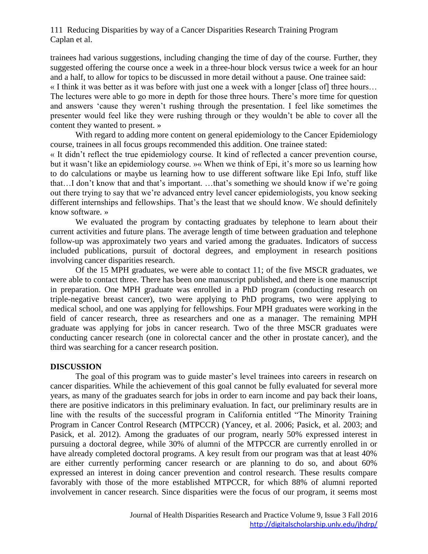trainees had various suggestions, including changing the time of day of the course. Further, they suggested offering the course once a week in a three-hour block versus twice a week for an hour and a half, to allow for topics to be discussed in more detail without a pause. One trainee said:

« I think it was better as it was before with just one a week with a longer [class of] three hours… The lectures were able to go more in depth for those three hours. There's more time for question and answers 'cause they weren't rushing through the presentation. I feel like sometimes the presenter would feel like they were rushing through or they wouldn't be able to cover all the content they wanted to present. »

With regard to adding more content on general epidemiology to the Cancer Epidemiology course, trainees in all focus groups recommended this addition. One trainee stated:

« It didn't reflect the true epidemiology course. It kind of reflected a cancer prevention course, but it wasn't like an epidemiology course. »« When we think of Epi, it's more so us learning how to do calculations or maybe us learning how to use different software like Epi Info, stuff like that…I don't know that and that's important. …that's something we should know if we're going out there trying to say that we're advanced entry level cancer epidemiologists, you know seeking different internships and fellowships. That's the least that we should know. We should definitely know software. »

We evaluated the program by contacting graduates by telephone to learn about their current activities and future plans. The average length of time between graduation and telephone follow-up was approximately two years and varied among the graduates. Indicators of success included publications, pursuit of doctoral degrees, and employment in research positions involving cancer disparities research.

Of the 15 MPH graduates, we were able to contact 11; of the five MSCR graduates, we were able to contact three. There has been one manuscript published, and there is one manuscript in preparation. One MPH graduate was enrolled in a PhD program (conducting research on triple-negative breast cancer), two were applying to PhD programs, two were applying to medical school, and one was applying for fellowships. Four MPH graduates were working in the field of cancer research, three as researchers and one as a manager. The remaining MPH graduate was applying for jobs in cancer research. Two of the three MSCR graduates were conducting cancer research (one in colorectal cancer and the other in prostate cancer), and the third was searching for a cancer research position.

#### **DISCUSSION**

The goal of this program was to guide master's level trainees into careers in research on cancer disparities. While the achievement of this goal cannot be fully evaluated for several more years, as many of the graduates search for jobs in order to earn income and pay back their loans, there are positive indicators in this preliminary evaluation. In fact, our preliminary results are in line with the results of the successful program in California entitled "The Minority Training Program in Cancer Control Research (MTPCCR) (Yancey, et al. 2006; Pasick, et al. 2003; and Pasick, et al. 2012). Among the graduates of our program, nearly 50% expressed interest in pursuing a doctoral degree, while 30% of alumni of the MTPCCR are currently enrolled in or have already completed doctoral programs. A key result from our program was that at least 40% are either currently performing cancer research or are planning to do so, and about 60% expressed an interest in doing cancer prevention and control research. These results compare favorably with those of the more established MTPCCR, for which 88% of alumni reported involvement in cancer research. Since disparities were the focus of our program, it seems most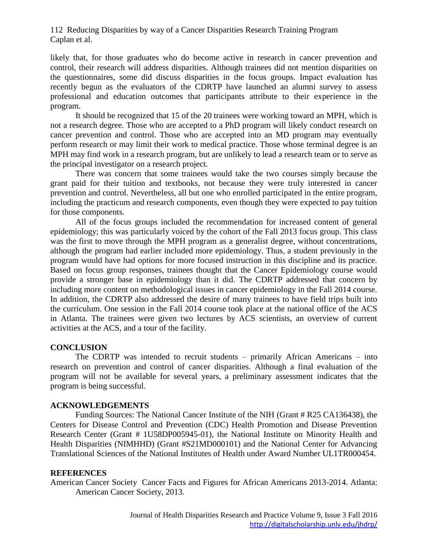likely that, for those graduates who do become active in research in cancer prevention and control, their research will address disparities. Although trainees did not mention disparities on the questionnaires, some did discuss disparities in the focus groups. Impact evaluation has recently begun as the evaluators of the CDRTP have launched an alumni survey to assess professional and education outcomes that participants attribute to their experience in the program.

It should be recognized that 15 of the 20 trainees were working toward an MPH, which is not a research degree. Those who are accepted to a PhD program will likely conduct research on cancer prevention and control. Those who are accepted into an MD program may eventually perform research or may limit their work to medical practice. Those whose terminal degree is an MPH may find work in a research program, but are unlikely to lead a research team or to serve as the principal investigator on a research project.

There was concern that some trainees would take the two courses simply because the grant paid for their tuition and textbooks, not because they were truly interested in cancer prevention and control. Nevertheless, all but one who enrolled participated in the entire program, including the practicum and research components, even though they were expected to pay tuition for those components.

All of the focus groups included the recommendation for increased content of general epidemiology; this was particularly voiced by the cohort of the Fall 2013 focus group. This class was the first to move through the MPH program as a generalist degree, without concentrations, although the program had earlier included more epidemiology. Thus, a student previously in the program would have had options for more focused instruction in this discipline and its practice. Based on focus group responses, trainees thought that the Cancer Epidemiology course would provide a stronger base in epidemiology than it did. The CDRTP addressed that concern by including more content on methodological issues in cancer epidemiology in the Fall 2014 course. In addition, the CDRTP also addressed the desire of many trainees to have field trips built into the curriculum. One session in the Fall 2014 course took place at the national office of the ACS in Atlanta. The trainees were given two lectures by ACS scientists, an overview of current activities at the ACS, and a tour of the facility.

#### **CONCLUSION**

The CDRTP was intended to recruit students – primarily African Americans – into research on prevention and control of cancer disparities. Although a final evaluation of the program will not be available for several years, a preliminary assessment indicates that the program is being successful.

#### **ACKNOWLEDGEMENTS**

Funding Sources: The National Cancer Institute of the NIH (Grant # R25 CA136438), the Centers for Disease Control and Prevention (CDC) Health Promotion and Disease Prevention Research Center (Grant # 1U58DP005945-01), the National Institute on Minority Health and Health Disparities (NIMHHD) (Grant #S21MD000101) and the National Center for Advancing Translational Sciences of the National Institutes of Health under Award Number UL1TR000454.

#### **REFERENCES**

American Cancer Society Cancer Facts and Figures for African Americans 2013-2014. Atlanta: American Cancer Society, 2013.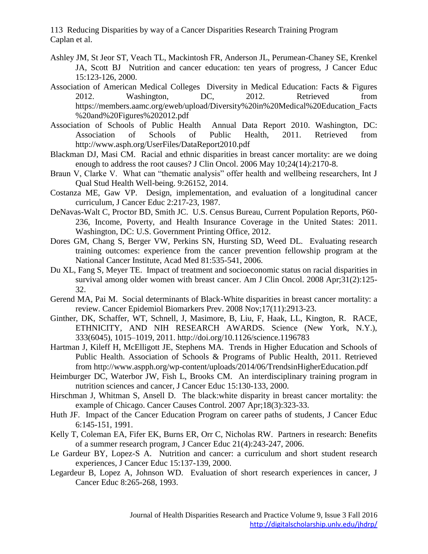- Ashley JM, St Jeor ST, Veach TL, Mackintosh FR, Anderson JL, Perumean-Chaney SE, Krenkel JA, Scott BJ Nutrition and cancer education: ten years of progress, J Cancer Educ 15:123-126, 2000.
- Association of American Medical Colleges Diversity in Medical Education: Facts & Figures 2012. Washington, DC, 2012. Retrieved from https://members.aamc.org/eweb/upload/Diversity%20in%20Medical%20Education\_Facts %20and%20Figures%202012.pdf
- Association of Schools of Public Health Annual Data Report 2010. Washington, DC: Association of Schools of Public Health, 2011. Retrieved from http://www.asph.org/UserFiles/DataReport2010.pdf
- Blackman DJ, Masi CM. Racial and ethnic disparities in breast cancer mortality: are we doing enough to address the root causes? J Clin Oncol. 2006 May 10;24(14):2170-8.
- Braun V, Clarke V. What can "thematic analysis" offer health and wellbeing researchers, Int J Qual Stud Health Well-being. 9:26152, 2014.
- Costanza ME, Gaw VP. Design, implementation, and evaluation of a longitudinal cancer curriculum, J Cancer Educ 2:217-23, 1987.
- DeNavas-Walt C, Proctor BD, Smith JC. U.S. Census Bureau, Current Population Reports, P60- 236, Income, Poverty, and Health Insurance Coverage in the United States: 2011. Washington, DC: U.S. Government Printing Office, 2012.
- Dores GM, Chang S, Berger VW, Perkins SN, Hursting SD, Weed DL. Evaluating research training outcomes: experience from the cancer prevention fellowship program at the National Cancer Institute, Acad Med 81:535-541, 2006.
- Du XL, Fang S, Meyer TE. Impact of treatment and socioeconomic status on racial disparities in survival among older women with breast cancer. Am J Clin Oncol. 2008 Apr;31(2):125- 32.
- Gerend MA, Pai M. Social determinants of Black-White disparities in breast cancer mortality: a review. Cancer Epidemiol Biomarkers Prev. 2008 Nov;17(11):2913-23.
- Ginther, DK, Schaffer, WT, Schnell, J, Masimore, B, Liu, F, Haak, LL, Kington, R. RACE, ETHNICITY, AND NIH RESEARCH AWARDS. Science (New York, N.Y.), 333(6045), 1015–1019, 2011. http://doi.org/10.1126/science.1196783
- Hartman J, Kileff H, McElligott JE, Stephens MA. Trends in Higher Education and Schools of Public Health. Association of Schools & Programs of Public Health, 2011. Retrieved from http://www.aspph.org/wp-content/uploads/2014/06/TrendsinHigherEducation.pdf
- Heimburger DC, Waterbor JW, Fish L, Brooks CM. An interdisciplinary training program in nutrition sciences and cancer, J Cancer Educ 15:130-133, 2000.
- Hirschman J, Whitman S, Ansell D. The black:white disparity in breast cancer mortality: the example of Chicago. Cancer Causes Control. 2007 Apr;18(3):323-33.
- Huth JF. Impact of the Cancer Education Program on career paths of students, J Cancer Educ 6:145-151, 1991.
- Kelly T, Coleman EA, Fifer EK, Burns ER, Orr C, Nicholas RW. Partners in research: Benefits of a summer research program, J Cancer Educ 21(4):243-247, 2006.
- Le Gardeur BY, Lopez-S A. Nutrition and cancer: a curriculum and short student research experiences, J Cancer Educ 15:137-139, 2000.
- Legardeur B, Lopez A, Johnson WD. Evaluation of short research experiences in cancer, J Cancer Educ 8:265-268, 1993.